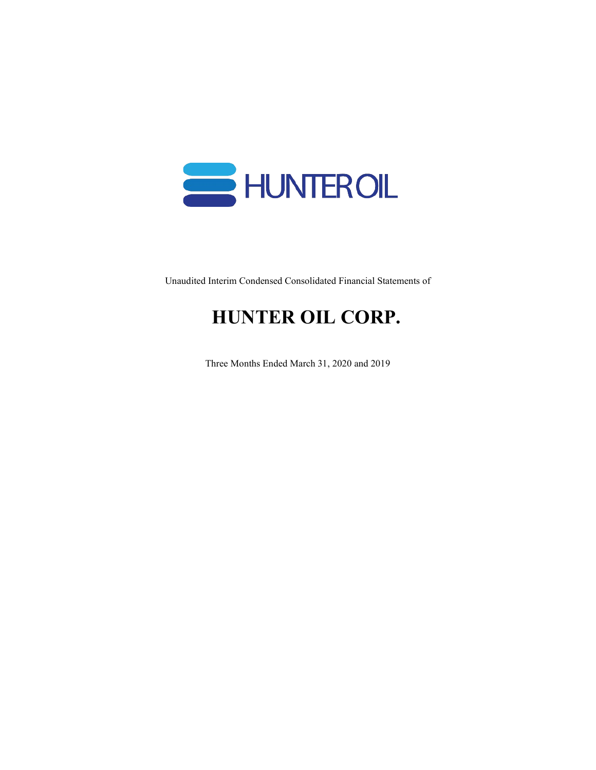

Unaudited Interim Condensed Consolidated Financial Statements of

# **HUNTER OIL CORP.**

Three Months Ended March 31, 2020 and 2019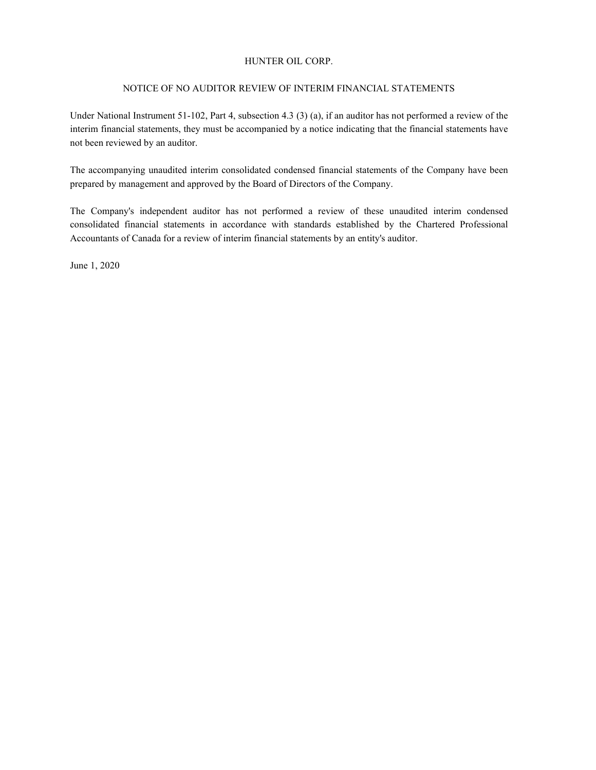### NOTICE OF NO AUDITOR REVIEW OF INTERIM FINANCIAL STATEMENTS

Under National Instrument 51-102, Part 4, subsection 4.3 (3) (a), if an auditor has not performed a review of the interim financial statements, they must be accompanied by a notice indicating that the financial statements have not been reviewed by an auditor.

The accompanying unaudited interim consolidated condensed financial statements of the Company have been prepared by management and approved by the Board of Directors of the Company.

The Company's independent auditor has not performed a review of these unaudited interim condensed consolidated financial statements in accordance with standards established by the Chartered Professional Accountants of Canada for a review of interim financial statements by an entity's auditor.

June 1, 2020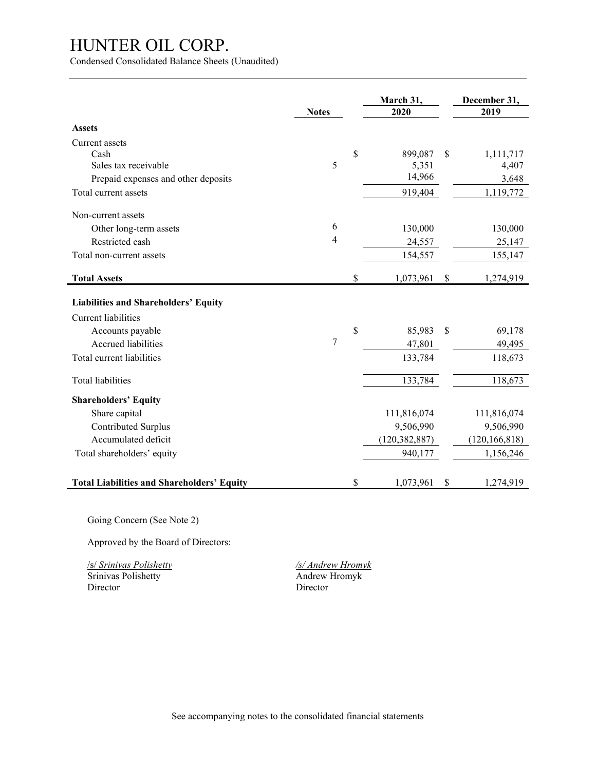Condensed Consolidated Balance Sheets (Unaudited)

|                                                   | <b>Notes</b>   | March 31,<br>2020 |               | December 31,<br>2019 |
|---------------------------------------------------|----------------|-------------------|---------------|----------------------|
| <b>Assets</b>                                     |                |                   |               |                      |
| Current assets                                    |                |                   |               |                      |
| Cash                                              |                | \$<br>899,087     | \$            | 1,111,717            |
| Sales tax receivable                              | 5              | 5,351             |               | 4,407                |
| Prepaid expenses and other deposits               |                | 14,966            |               | 3,648                |
| Total current assets                              |                | 919,404           |               | 1,119,772            |
| Non-current assets                                |                |                   |               |                      |
| Other long-term assets                            | 6              | 130,000           |               | 130,000              |
| Restricted cash                                   | $\overline{4}$ | 24,557            |               | 25,147               |
| Total non-current assets                          |                | 154,557           |               | 155,147              |
| <b>Total Assets</b>                               |                | \$<br>1,073,961   | \$            | 1,274,919            |
| <b>Liabilities and Shareholders' Equity</b>       |                |                   |               |                      |
| <b>Current liabilities</b>                        |                |                   |               |                      |
| Accounts payable                                  |                | \$<br>85,983      | $\mathcal{S}$ | 69,178               |
| Accrued liabilities                               | 7              | 47,801            |               | 49,495               |
| Total current liabilities                         |                | 133,784           |               | 118,673              |
| <b>Total liabilities</b>                          |                | 133,784           |               | 118,673              |
| <b>Shareholders' Equity</b>                       |                |                   |               |                      |
| Share capital                                     |                | 111,816,074       |               | 111,816,074          |
| Contributed Surplus                               |                | 9,506,990         |               | 9,506,990            |
| Accumulated deficit                               |                | (120, 382, 887)   |               | (120, 166, 818)      |
| Total shareholders' equity                        |                | 940,177           |               | 1,156,246            |
|                                                   |                |                   |               |                      |
| <b>Total Liabilities and Shareholders' Equity</b> |                | \$<br>1,073,961   | \$            | 1,274,919            |

Going Concern (See Note 2)

Approved by the Board of Directors:

/s/ *Srinivas Polishetty /s/ Andrew Hromyk* Srinivas Polishetty<br>
Director Birector<br>
Director<br>
Director Director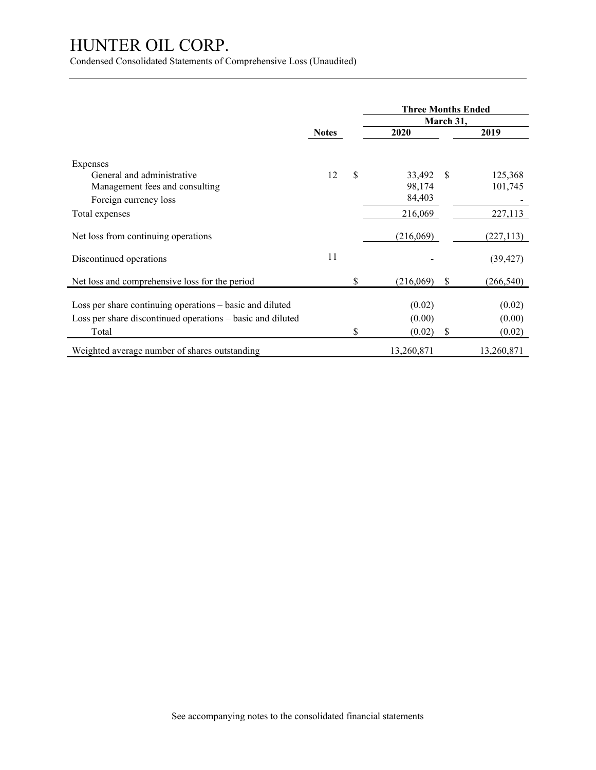Condensed Consolidated Statements of Comprehensive Loss (Unaudited)

|                                                                                                                                 |              |    | <b>Three Months Ended</b>  | March 31,     |                            |
|---------------------------------------------------------------------------------------------------------------------------------|--------------|----|----------------------------|---------------|----------------------------|
|                                                                                                                                 | <b>Notes</b> |    | 2020                       |               | 2019                       |
| Expenses<br>General and administrative<br>Management fees and consulting<br>Foreign currency loss                               | 12           | \$ | 33,492<br>98,174<br>84,403 | <sup>\$</sup> | 125,368<br>101,745         |
| Total expenses                                                                                                                  |              |    | 216,069                    |               | 227,113                    |
| Net loss from continuing operations                                                                                             |              |    | (216,069)                  |               | (227, 113)                 |
| Discontinued operations                                                                                                         | 11           |    |                            |               | (39, 427)                  |
| Net loss and comprehensive loss for the period                                                                                  |              | \$ | (216,069)                  | S             | (266, 540)                 |
| Loss per share continuing operations – basic and diluted<br>Loss per share discontinued operations - basic and diluted<br>Total |              | S  | (0.02)<br>(0.00)<br>(0.02) | \$            | (0.02)<br>(0.00)<br>(0.02) |
| Weighted average number of shares outstanding                                                                                   |              |    | 13,260,871                 |               | 13,260,871                 |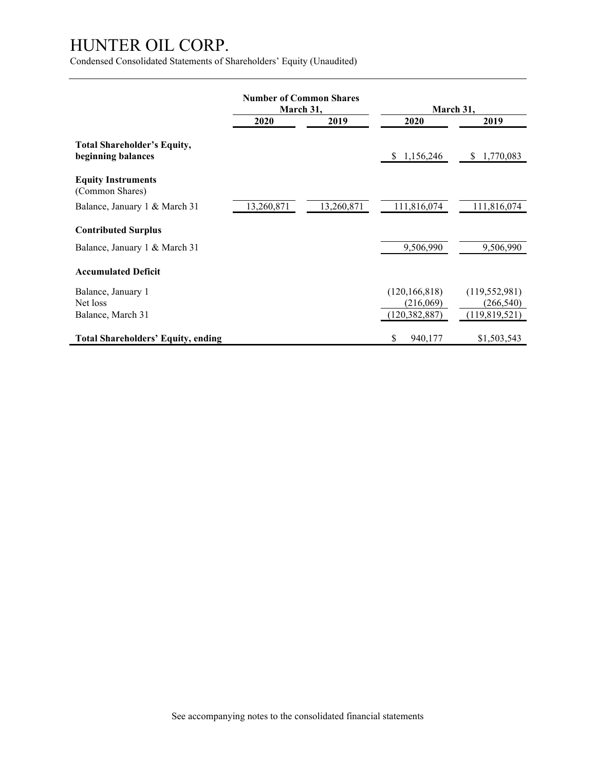Condensed Consolidated Statements of Shareholders' Equity (Unaudited)

|                                                          | <b>Number of Common Shares</b><br>March 31, |            | March 31,       |                            |  |
|----------------------------------------------------------|---------------------------------------------|------------|-----------------|----------------------------|--|
|                                                          | 2020<br>2019                                |            | 2020            | 2019                       |  |
| <b>Total Shareholder's Equity,</b><br>beginning balances |                                             |            | \$1,156,246     | 1,770,083<br><sup>\$</sup> |  |
| <b>Equity Instruments</b><br>(Common Shares)             |                                             |            |                 |                            |  |
| Balance, January 1 & March 31                            | 13,260,871                                  | 13,260,871 | 111,816,074     | 111,816,074                |  |
| <b>Contributed Surplus</b>                               |                                             |            |                 |                            |  |
| Balance, January 1 & March 31                            |                                             |            | 9,506,990       | 9,506,990                  |  |
| <b>Accumulated Deficit</b>                               |                                             |            |                 |                            |  |
| Balance, January 1                                       |                                             |            | (120, 166, 818) | (119, 552, 981)            |  |
| Net loss                                                 |                                             |            | (216,069)       | (266, 540)                 |  |
| Balance, March 31                                        |                                             |            | (120, 382, 887) | (119,819,521)              |  |
| <b>Total Shareholders' Equity, ending</b>                |                                             |            | \$<br>940,177   | \$1,503,543                |  |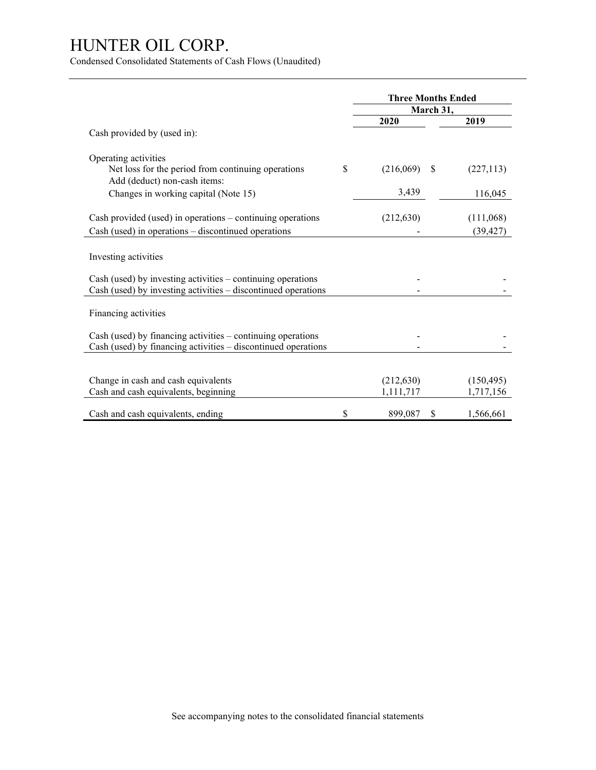Condensed Consolidated Statements of Cash Flows (Unaudited)

|                                                                                     | <b>Three Months Ended</b> |               |            |
|-------------------------------------------------------------------------------------|---------------------------|---------------|------------|
|                                                                                     |                           | March 31,     |            |
|                                                                                     | 2020                      |               | 2019       |
| Cash provided by (used in):                                                         |                           |               |            |
| Operating activities                                                                |                           |               |            |
| Net loss for the period from continuing operations<br>Add (deduct) non-cash items:  | \$<br>(216,069)           | <sup>\$</sup> | (227, 113) |
| Changes in working capital (Note 15)                                                | 3,439                     |               | 116,045    |
| Cash provided (used) in operations $-$ continuing operations                        | (212, 630)                |               | (111,068)  |
| Cash (used) in operations - discontinued operations                                 |                           |               | (39, 427)  |
| Investing activities<br>Cash (used) by investing activities – continuing operations |                           |               |            |
| Cash (used) by investing activities – discontinued operations                       |                           |               |            |
| Financing activities                                                                |                           |               |            |
| Cash (used) by financing activities – continuing operations                         |                           |               |            |
| Cash (used) by financing activities - discontinued operations                       |                           |               |            |
|                                                                                     |                           |               |            |
| Change in cash and cash equivalents                                                 | (212, 630)                |               | (150, 495) |
| Cash and cash equivalents, beginning                                                | 1,111,717                 |               | 1,717,156  |
| Cash and cash equivalents, ending                                                   | \$<br>899,087             | S             | 1,566,661  |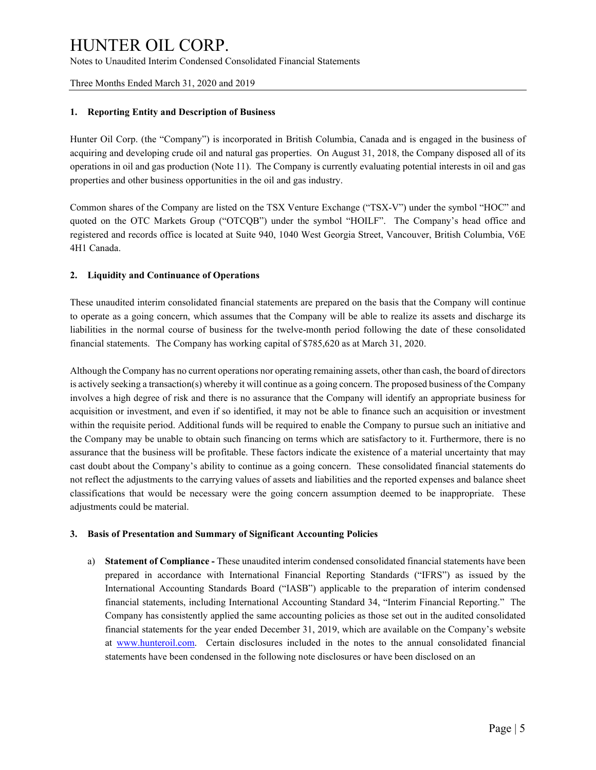Three Months Ended March 31, 2020 and 2019

### **1. Reporting Entity and Description of Business**

Hunter Oil Corp. (the "Company") is incorporated in British Columbia, Canada and is engaged in the business of acquiring and developing crude oil and natural gas properties. On August 31, 2018, the Company disposed all of its operations in oil and gas production (Note 11). The Company is currently evaluating potential interests in oil and gas properties and other business opportunities in the oil and gas industry.

Common shares of the Company are listed on the TSX Venture Exchange ("TSX-V") under the symbol "HOC" and quoted on the OTC Markets Group ("OTCQB") under the symbol "HOILF". The Company's head office and registered and records office is located at Suite 940, 1040 West Georgia Street, Vancouver, British Columbia, V6E 4H1 Canada.

### **2. Liquidity and Continuance of Operations**

These unaudited interim consolidated financial statements are prepared on the basis that the Company will continue to operate as a going concern, which assumes that the Company will be able to realize its assets and discharge its liabilities in the normal course of business for the twelve-month period following the date of these consolidated financial statements. The Company has working capital of \$785,620 as at March 31, 2020.

Although the Company has no current operations nor operating remaining assets, other than cash, the board of directors is actively seeking a transaction(s) whereby it will continue as a going concern. The proposed business of the Company involves a high degree of risk and there is no assurance that the Company will identify an appropriate business for acquisition or investment, and even if so identified, it may not be able to finance such an acquisition or investment within the requisite period. Additional funds will be required to enable the Company to pursue such an initiative and the Company may be unable to obtain such financing on terms which are satisfactory to it. Furthermore, there is no assurance that the business will be profitable. These factors indicate the existence of a material uncertainty that may cast doubt about the Company's ability to continue as a going concern. These consolidated financial statements do not reflect the adjustments to the carrying values of assets and liabilities and the reported expenses and balance sheet classifications that would be necessary were the going concern assumption deemed to be inappropriate. These adjustments could be material.

### **3. Basis of Presentation and Summary of Significant Accounting Policies**

a) **Statement of Compliance -** These unaudited interim condensed consolidated financial statements have been prepared in accordance with International Financial Reporting Standards ("IFRS") as issued by the International Accounting Standards Board ("IASB") applicable to the preparation of interim condensed financial statements, including International Accounting Standard 34, "Interim Financial Reporting." The Company has consistently applied the same accounting policies as those set out in the audited consolidated financial statements for the year ended December 31, 2019, which are available on the Company's website at [www.hunteroil.com.](http://www.hunteroil.com/) Certain disclosures included in the notes to the annual consolidated financial statements have been condensed in the following note disclosures or have been disclosed on an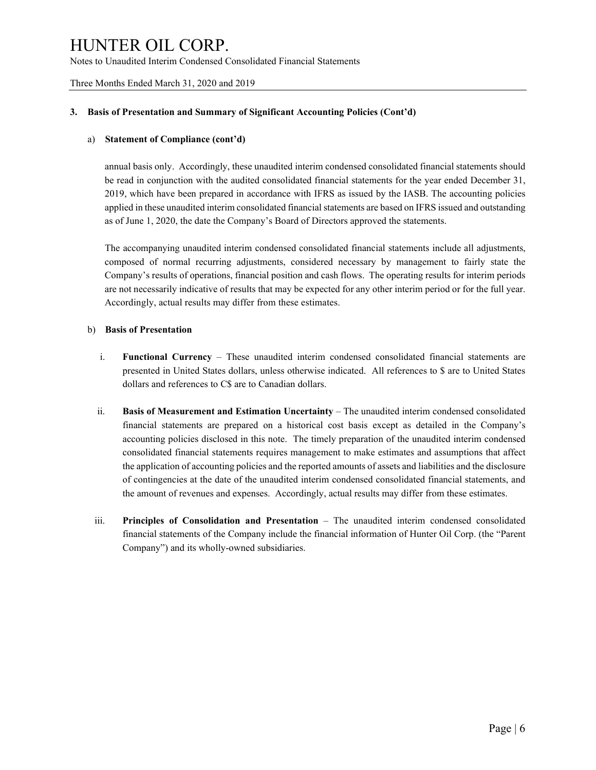Three Months Ended March 31, 2020 and 2019

#### **3. Basis of Presentation and Summary of Significant Accounting Policies (Cont'd)**

#### a) **Statement of Compliance (cont'd)**

annual basis only. Accordingly, these unaudited interim condensed consolidated financial statements should be read in conjunction with the audited consolidated financial statements for the year ended December 31, 2019, which have been prepared in accordance with IFRS as issued by the IASB. The accounting policies applied in these unaudited interim consolidated financial statements are based on IFRS issued and outstanding as of June 1, 2020, the date the Company's Board of Directors approved the statements.

The accompanying unaudited interim condensed consolidated financial statements include all adjustments, composed of normal recurring adjustments, considered necessary by management to fairly state the Company's results of operations, financial position and cash flows. The operating results for interim periods are not necessarily indicative of results that may be expected for any other interim period or for the full year. Accordingly, actual results may differ from these estimates.

### b) **Basis of Presentation**

- i. **Functional Currency** These unaudited interim condensed consolidated financial statements are presented in United States dollars, unless otherwise indicated. All references to \$ are to United States dollars and references to C\$ are to Canadian dollars.
- ii. **Basis of Measurement and Estimation Uncertainty** The unaudited interim condensed consolidated financial statements are prepared on a historical cost basis except as detailed in the Company's accounting policies disclosed in this note. The timely preparation of the unaudited interim condensed consolidated financial statements requires management to make estimates and assumptions that affect the application of accounting policies and the reported amounts of assets and liabilities and the disclosure of contingencies at the date of the unaudited interim condensed consolidated financial statements, and the amount of revenues and expenses. Accordingly, actual results may differ from these estimates.
- iii. **Principles of Consolidation and Presentation** The unaudited interim condensed consolidated financial statements of the Company include the financial information of Hunter Oil Corp. (the "Parent Company") and its wholly-owned subsidiaries.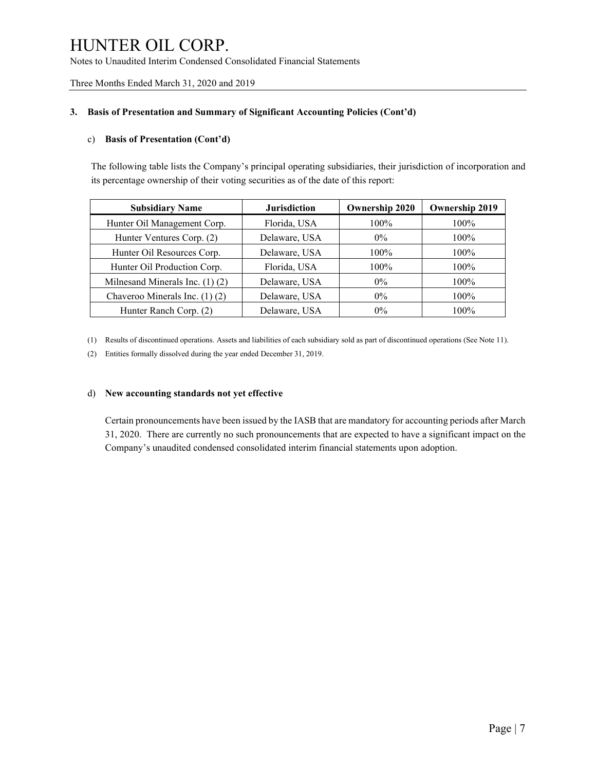Three Months Ended March 31, 2020 and 2019

### **3. Basis of Presentation and Summary of Significant Accounting Policies (Cont'd)**

### c) **Basis of Presentation (Cont'd)**

The following table lists the Company's principal operating subsidiaries, their jurisdiction of incorporation and its percentage ownership of their voting securities as of the date of this report:

| <b>Subsidiary Name</b>              | <b>Jurisdiction</b> | <b>Ownership 2020</b> | <b>Ownership 2019</b> |
|-------------------------------------|---------------------|-----------------------|-----------------------|
| Hunter Oil Management Corp.         | Florida, USA        | $100\%$               | $100\%$               |
| Hunter Ventures Corp. (2)           | Delaware, USA       | $0\%$                 | $100\%$               |
| Hunter Oil Resources Corp.          | Delaware, USA       | $100\%$               | $100\%$               |
| Hunter Oil Production Corp.         | Florida, USA        | $100\%$               | $100\%$               |
| Milnesand Minerals Inc. $(1)$ $(2)$ | Delaware, USA       | $0\%$                 | $100\%$               |
| Chaveroo Minerals Inc. (1) (2)      | Delaware, USA       | $0\%$                 | $100\%$               |
| Hunter Ranch Corp. (2)              | Delaware, USA       | $0\%$                 | $100\%$               |

(1) Results of discontinued operations. Assets and liabilities of each subsidiary sold as part of discontinued operations (See Note 11).

(2) Entities formally dissolved during the year ended December 31, 2019.

### d) **New accounting standards not yet effective**

Certain pronouncements have been issued by the IASB that are mandatory for accounting periods after March 31, 2020. There are currently no such pronouncements that are expected to have a significant impact on the Company's unaudited condensed consolidated interim financial statements upon adoption.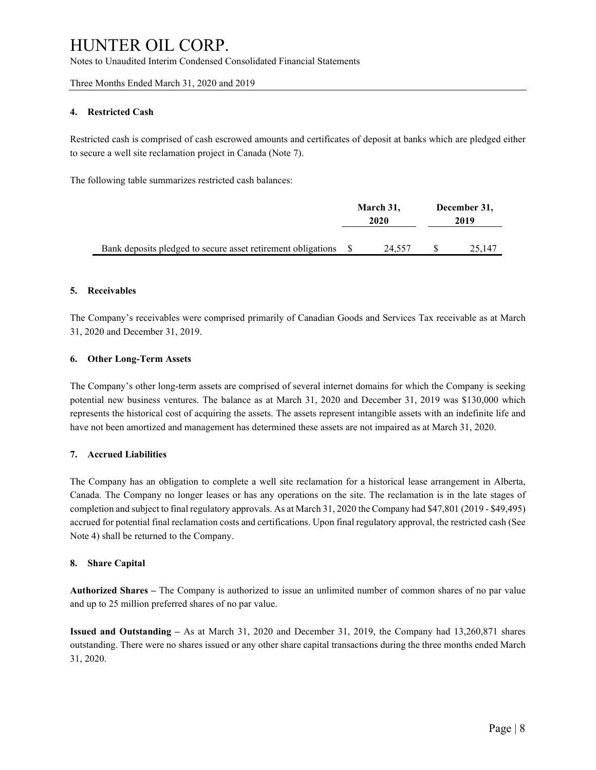Three Months Ended March 31, 2020 and 2019

### **4. Restricted Cash**

Restricted cash is comprised of cash escrowed amounts and certificates of deposit at banks which are pledged either to secure a well site reclamation project in Canada (Note 7).

The following table summarizes restricted cash balances:

|                                                              | March 31,<br>2020 |        | December 31,<br>2019 |        |
|--------------------------------------------------------------|-------------------|--------|----------------------|--------|
|                                                              |                   |        |                      |        |
|                                                              |                   |        |                      |        |
| Bank deposits pledged to secure asset retirement obligations |                   | 24.557 |                      | 25.147 |

### **5. Receivables**

The Company's receivables were comprised primarily of Canadian Goods and Services Tax receivable as at March 31, 2020 and December 31, 2019.

#### **6. Other Long-Term Assets**

The Company's other long-term assets are comprised of several internet domains for which the Company is seeking potential new business ventures. The balance as at March 31, 2020 and December 31, 2019 was \$130,000 which represents the historical cost of acquiring the assets. The assets represent intangible assets with an indefinite life and have not been amortized and management has determined these assets are not impaired as at March 31, 2020.

#### **7. Accrued Liabilities**

The Company has an obligation to complete a well site reclamation for a historical lease arrangement in Alberta, Canada. The Company no longer leases or has any operations on the site. The reclamation is in the late stages of completion and subject to final regulatory approvals. As at March 31, 2020 the Company had \$47,801 (2019 - \$49,495) accrued for potential final reclamation costs and certifications. Upon final regulatory approval, the restricted cash (See Note 4) shall be returned to the Company.

#### **8. Share Capital**

**Authorized Shares –** The Company is authorized to issue an unlimited number of common shares of no par value and up to 25 million preferred shares of no par value.

**Issued and Outstanding –** As at March 31, 2020 and December 31, 2019, the Company had 13,260,871 shares outstanding. There were no shares issued or any other share capital transactions during the three months ended March 31, 2020.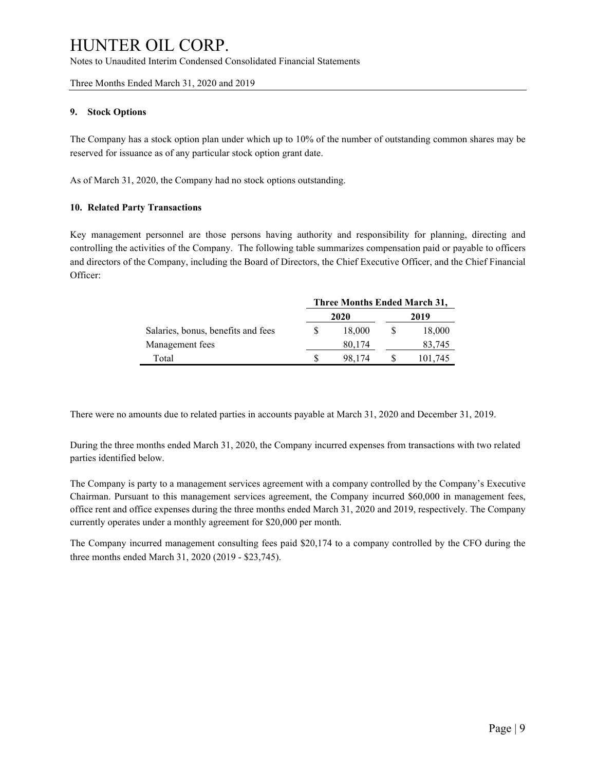#### Three Months Ended March 31, 2020 and 2019

### **9. Stock Options**

The Company has a stock option plan under which up to 10% of the number of outstanding common shares may be reserved for issuance as of any particular stock option grant date.

As of March 31, 2020, the Company had no stock options outstanding.

### **10. Related Party Transactions**

Key management personnel are those persons having authority and responsibility for planning, directing and controlling the activities of the Company. The following table summarizes compensation paid or payable to officers and directors of the Company, including the Board of Directors, the Chief Executive Officer, and the Chief Financial Officer:

|                                    | Three Months Ended March 31, |        |      |         |  |
|------------------------------------|------------------------------|--------|------|---------|--|
|                                    |                              | 2020   | 2019 |         |  |
| Salaries, bonus, benefits and fees |                              | 18,000 |      | 18,000  |  |
| Management fees                    |                              | 80,174 |      | 83.745  |  |
| Total                              |                              | 98.174 |      | 101,745 |  |

There were no amounts due to related parties in accounts payable at March 31, 2020 and December 31, 2019.

During the three months ended March 31, 2020, the Company incurred expenses from transactions with two related parties identified below.

The Company is party to a management services agreement with a company controlled by the Company's Executive Chairman. Pursuant to this management services agreement, the Company incurred \$60,000 in management fees, office rent and office expenses during the three months ended March 31, 2020 and 2019, respectively. The Company currently operates under a monthly agreement for \$20,000 per month.

The Company incurred management consulting fees paid \$20,174 to a company controlled by the CFO during the three months ended March 31, 2020 (2019 - \$23,745).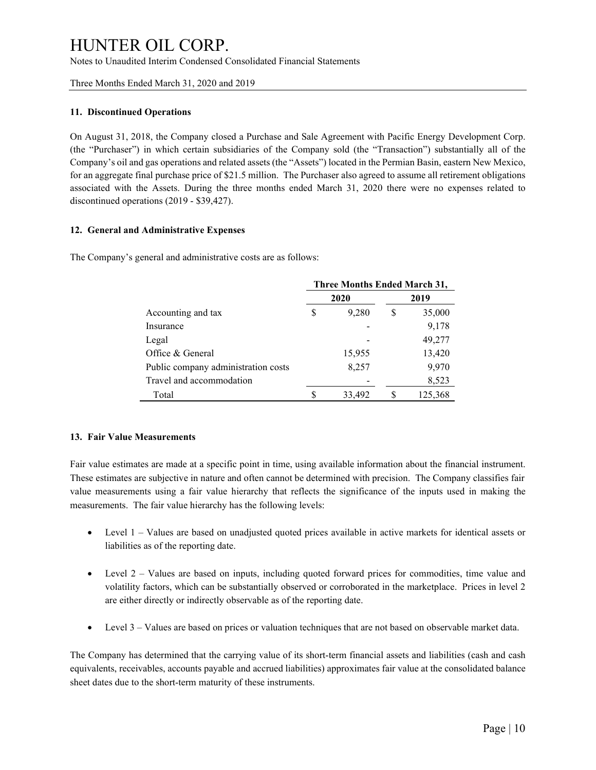Three Months Ended March 31, 2020 and 2019

### **11. Discontinued Operations**

On August 31, 2018, the Company closed a Purchase and Sale Agreement with Pacific Energy Development Corp. (the "Purchaser") in which certain subsidiaries of the Company sold (the "Transaction") substantially all of the Company's oil and gas operations and related assets (the "Assets") located in the Permian Basin, eastern New Mexico, for an aggregate final purchase price of \$21.5 million. The Purchaser also agreed to assume all retirement obligations associated with the Assets. During the three months ended March 31, 2020 there were no expenses related to discontinued operations (2019 - \$39,427).

### **12. General and Administrative Expenses**

The Company's general and administrative costs are as follows:

|                                     | Three Months Ended March 31, |        |      |         |  |
|-------------------------------------|------------------------------|--------|------|---------|--|
|                                     |                              | 2020   | 2019 |         |  |
| Accounting and tax                  | S                            | 9,280  | \$   | 35,000  |  |
| Insurance                           |                              |        |      | 9,178   |  |
| Legal                               |                              |        |      | 49,277  |  |
| Office & General                    |                              | 15,955 |      | 13,420  |  |
| Public company administration costs |                              | 8,257  |      | 9,970   |  |
| Travel and accommodation            |                              |        |      | 8,523   |  |
| Total                               | S                            | 33,492 |      | 125,368 |  |

#### **13. Fair Value Measurements**

Fair value estimates are made at a specific point in time, using available information about the financial instrument. These estimates are subjective in nature and often cannot be determined with precision. The Company classifies fair value measurements using a fair value hierarchy that reflects the significance of the inputs used in making the measurements. The fair value hierarchy has the following levels:

- Level 1 Values are based on unadjusted quoted prices available in active markets for identical assets or liabilities as of the reporting date.
- Level 2 Values are based on inputs, including quoted forward prices for commodities, time value and volatility factors, which can be substantially observed or corroborated in the marketplace. Prices in level 2 are either directly or indirectly observable as of the reporting date.
- Level 3 Values are based on prices or valuation techniques that are not based on observable market data.

The Company has determined that the carrying value of its short-term financial assets and liabilities (cash and cash equivalents, receivables, accounts payable and accrued liabilities) approximates fair value at the consolidated balance sheet dates due to the short-term maturity of these instruments.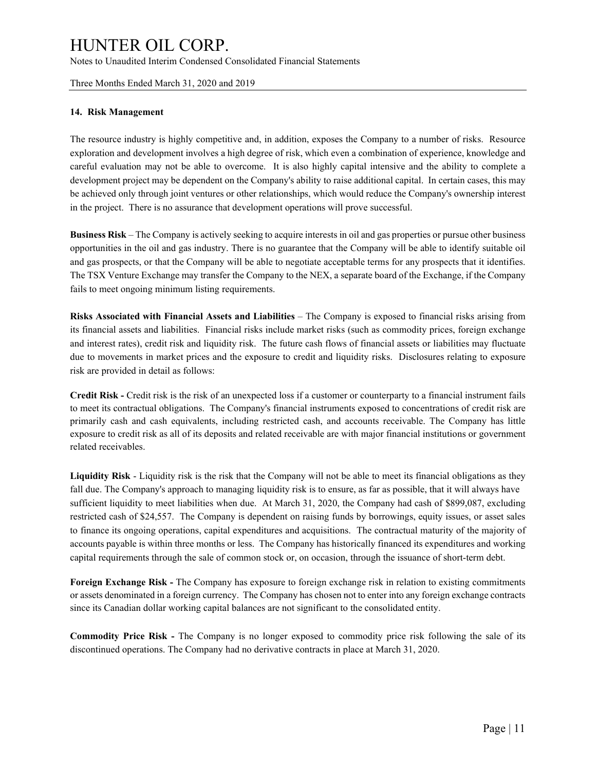#### Three Months Ended March 31, 2020 and 2019

#### **14. Risk Management**

The resource industry is highly competitive and, in addition, exposes the Company to a number of risks. Resource exploration and development involves a high degree of risk, which even a combination of experience, knowledge and careful evaluation may not be able to overcome. It is also highly capital intensive and the ability to complete a development project may be dependent on the Company's ability to raise additional capital. In certain cases, this may be achieved only through joint ventures or other relationships, which would reduce the Company's ownership interest in the project. There is no assurance that development operations will prove successful.

**Business Risk** – The Company is actively seeking to acquire interests in oil and gas properties or pursue other business opportunities in the oil and gas industry. There is no guarantee that the Company will be able to identify suitable oil and gas prospects, or that the Company will be able to negotiate acceptable terms for any prospects that it identifies. The TSX Venture Exchange may transfer the Company to the NEX, a separate board of the Exchange, if the Company fails to meet ongoing minimum listing requirements.

**Risks Associated with Financial Assets and Liabilities** – The Company is exposed to financial risks arising from its financial assets and liabilities. Financial risks include market risks (such as commodity prices, foreign exchange and interest rates), credit risk and liquidity risk. The future cash flows of financial assets or liabilities may fluctuate due to movements in market prices and the exposure to credit and liquidity risks. Disclosures relating to exposure risk are provided in detail as follows:

**Credit Risk -** Credit risk is the risk of an unexpected loss if a customer or counterparty to a financial instrument fails to meet its contractual obligations. The Company's financial instruments exposed to concentrations of credit risk are primarily cash and cash equivalents, including restricted cash, and accounts receivable. The Company has little exposure to credit risk as all of its deposits and related receivable are with major financial institutions or government related receivables.

**Liquidity Risk** - Liquidity risk is the risk that the Company will not be able to meet its financial obligations as they fall due. The Company's approach to managing liquidity risk is to ensure, as far as possible, that it will always have sufficient liquidity to meet liabilities when due. At March 31, 2020, the Company had cash of \$899,087, excluding restricted cash of \$24,557. The Company is dependent on raising funds by borrowings, equity issues, or asset sales to finance its ongoing operations, capital expenditures and acquisitions. The contractual maturity of the majority of accounts payable is within three months or less. The Company has historically financed its expenditures and working capital requirements through the sale of common stock or, on occasion, through the issuance of short-term debt.

**Foreign Exchange Risk -** The Company has exposure to foreign exchange risk in relation to existing commitments or assets denominated in a foreign currency. The Company has chosen not to enter into any foreign exchange contracts since its Canadian dollar working capital balances are not significant to the consolidated entity.

**Commodity Price Risk -** The Company is no longer exposed to commodity price risk following the sale of its discontinued operations. The Company had no derivative contracts in place at March 31, 2020.